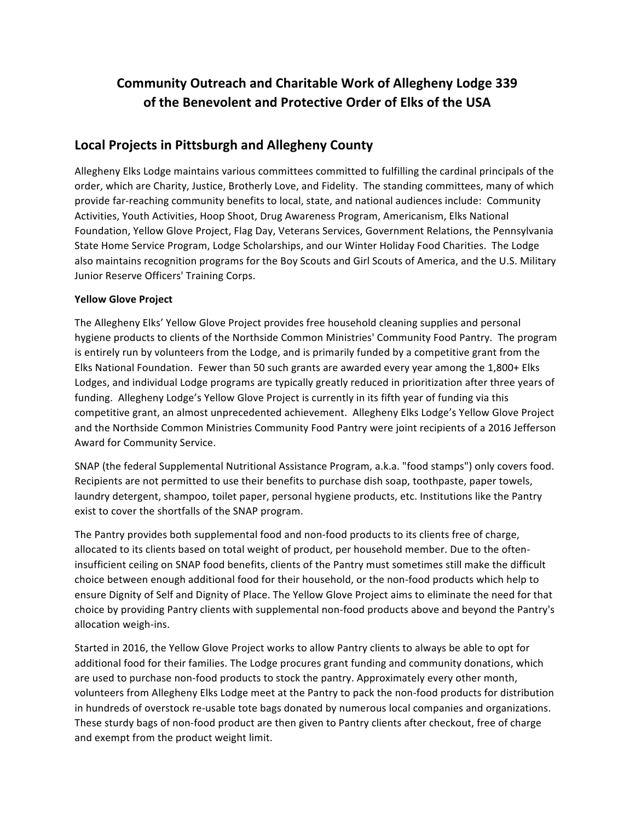# **Community Outreach and Charitable Work of Allegheny Lodge 339 of the Benevolent and Protective Order of Elks of the USA**

# Local Projects in Pittsburgh and Allegheny County

Allegheny Elks Lodge maintains various committees committed to fulfilling the cardinal principals of the order, which are Charity, Justice, Brotherly Love, and Fidelity. The standing committees, many of which provide far-reaching community benefits to local, state, and national audiences include: Community Activities, Youth Activities, Hoop Shoot, Drug Awareness Program, Americanism, Elks National Foundation, Yellow Glove Project, Flag Day, Veterans Services, Government Relations, the Pennsylvania State Home Service Program, Lodge Scholarships, and our Winter Holiday Food Charities. The Lodge also maintains recognition programs for the Boy Scouts and Girl Scouts of America, and the U.S. Military Junior Reserve Officers' Training Corps.

# **Yellow Glove Project**

The Allegheny Elks' Yellow Glove Project provides free household cleaning supplies and personal hygiene products to clients of the Northside Common Ministries' Community Food Pantry. The program is entirely run by volunteers from the Lodge, and is primarily funded by a competitive grant from the Elks National Foundation. Fewer than 50 such grants are awarded every year among the 1,800+ Elks Lodges, and individual Lodge programs are typically greatly reduced in prioritization after three years of funding. Allegheny Lodge's Yellow Glove Project is currently in its fifth year of funding via this competitive grant, an almost unprecedented achievement. Allegheny Elks Lodge's Yellow Glove Project and the Northside Common Ministries Community Food Pantry were joint recipients of a 2016 Jefferson Award for Community Service.

SNAP (the federal Supplemental Nutritional Assistance Program, a.k.a. "food stamps") only covers food. Recipients are not permitted to use their benefits to purchase dish soap, toothpaste, paper towels, laundry detergent, shampoo, toilet paper, personal hygiene products, etc. Institutions like the Pantry exist to cover the shortfalls of the SNAP program.

The Pantry provides both supplemental food and non-food products to its clients free of charge, allocated to its clients based on total weight of product, per household member. Due to the ofteninsufficient ceiling on SNAP food benefits, clients of the Pantry must sometimes still make the difficult choice between enough additional food for their household, or the non-food products which help to ensure Dignity of Self and Dignity of Place. The Yellow Glove Project aims to eliminate the need for that choice by providing Pantry clients with supplemental non-food products above and beyond the Pantry's allocation weigh-ins.

Started in 2016, the Yellow Glove Project works to allow Pantry clients to always be able to opt for additional food for their families. The Lodge procures grant funding and community donations, which are used to purchase non-food products to stock the pantry. Approximately every other month, volunteers from Allegheny Elks Lodge meet at the Pantry to pack the non-food products for distribution in hundreds of overstock re-usable tote bags donated by numerous local companies and organizations. These sturdy bags of non-food product are then given to Pantry clients after checkout, free of charge and exempt from the product weight limit.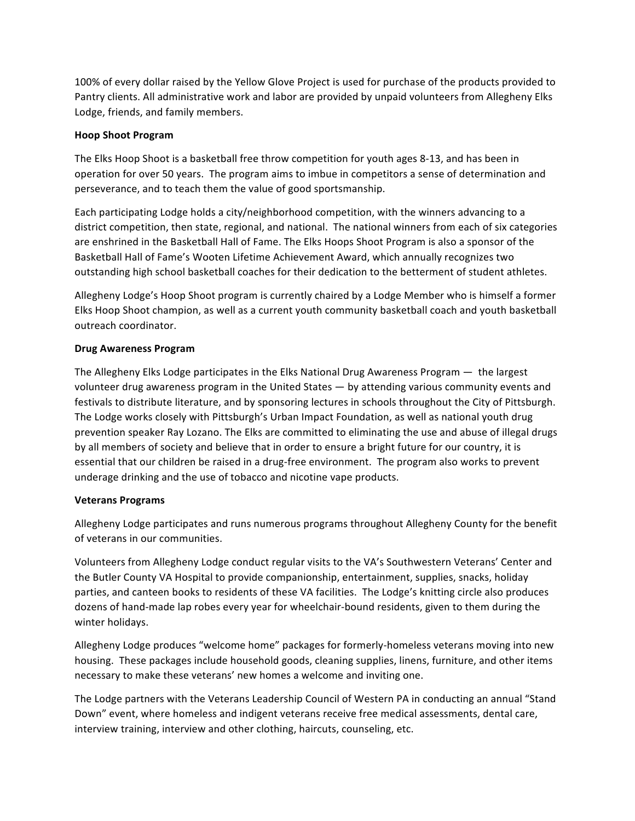100% of every dollar raised by the Yellow Glove Project is used for purchase of the products provided to Pantry clients. All administrative work and labor are provided by unpaid volunteers from Allegheny Elks Lodge, friends, and family members.

#### **Hoop Shoot Program**

The Elks Hoop Shoot is a basketball free throw competition for youth ages 8-13, and has been in operation for over 50 years. The program aims to imbue in competitors a sense of determination and perseverance, and to teach them the value of good sportsmanship.

Each participating Lodge holds a city/neighborhood competition, with the winners advancing to a district competition, then state, regional, and national. The national winners from each of six categories are enshrined in the Basketball Hall of Fame. The Elks Hoops Shoot Program is also a sponsor of the Basketball Hall of Fame's Wooten Lifetime Achievement Award, which annually recognizes two outstanding high school basketball coaches for their dedication to the betterment of student athletes.

Allegheny Lodge's Hoop Shoot program is currently chaired by a Lodge Member who is himself a former Elks Hoop Shoot champion, as well as a current youth community basketball coach and youth basketball outreach coordinator.

# **Drug Awareness Program**

The Allegheny Elks Lodge participates in the Elks National Drug Awareness Program  $-$  the largest volunteer drug awareness program in the United States — by attending various community events and festivals to distribute literature, and by sponsoring lectures in schools throughout the City of Pittsburgh. The Lodge works closely with Pittsburgh's Urban Impact Foundation, as well as national youth drug prevention speaker Ray Lozano. The Elks are committed to eliminating the use and abuse of illegal drugs by all members of society and believe that in order to ensure a bright future for our country, it is essential that our children be raised in a drug-free environment. The program also works to prevent underage drinking and the use of tobacco and nicotine vape products.

#### **Veterans Programs**

Allegheny Lodge participates and runs numerous programs throughout Allegheny County for the benefit of veterans in our communities.

Volunteers from Allegheny Lodge conduct regular visits to the VA's Southwestern Veterans' Center and the Butler County VA Hospital to provide companionship, entertainment, supplies, snacks, holiday parties, and canteen books to residents of these VA facilities. The Lodge's knitting circle also produces dozens of hand-made lap robes every year for wheelchair-bound residents, given to them during the winter holidays.

Allegheny Lodge produces "welcome home" packages for formerly-homeless veterans moving into new housing. These packages include household goods, cleaning supplies, linens, furniture, and other items necessary to make these veterans' new homes a welcome and inviting one.

The Lodge partners with the Veterans Leadership Council of Western PA in conducting an annual "Stand Down" event, where homeless and indigent veterans receive free medical assessments, dental care, interview training, interview and other clothing, haircuts, counseling, etc.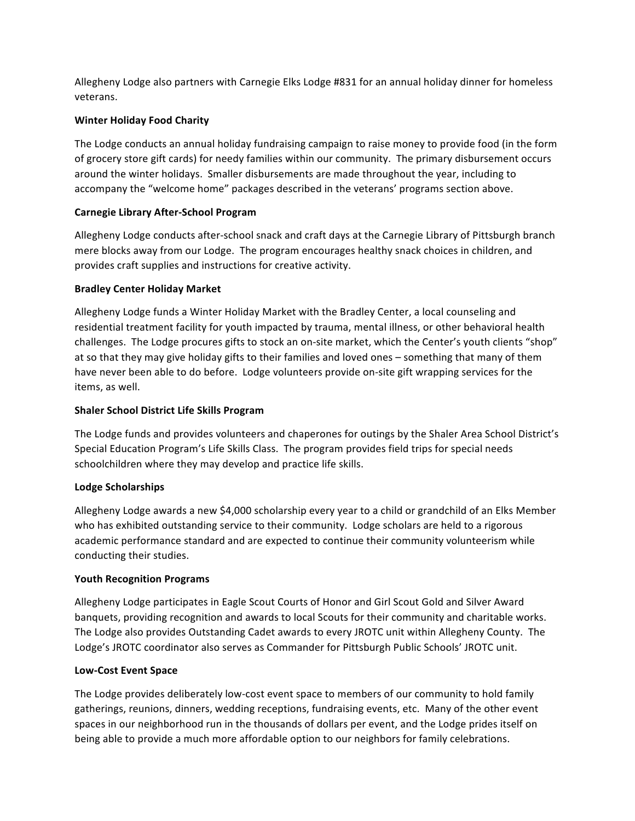Allegheny Lodge also partners with Carnegie Elks Lodge #831 for an annual holiday dinner for homeless veterans.

# **Winter Holiday Food Charity**

The Lodge conducts an annual holiday fundraising campaign to raise money to provide food (in the form of grocery store gift cards) for needy families within our community. The primary disbursement occurs around the winter holidays. Smaller disbursements are made throughout the year, including to accompany the "welcome home" packages described in the veterans' programs section above.

#### **Carnegie Library After-School Program**

Allegheny Lodge conducts after-school snack and craft days at the Carnegie Library of Pittsburgh branch mere blocks away from our Lodge. The program encourages healthy snack choices in children, and provides craft supplies and instructions for creative activity.

#### **Bradley Center Holiday Market**

Allegheny Lodge funds a Winter Holiday Market with the Bradley Center, a local counseling and residential treatment facility for youth impacted by trauma, mental illness, or other behavioral health challenges. The Lodge procures gifts to stock an on-site market, which the Center's youth clients "shop" at so that they may give holiday gifts to their families and loved ones – something that many of them have never been able to do before. Lodge volunteers provide on-site gift wrapping services for the items, as well.

# **Shaler School District Life Skills Program**

The Lodge funds and provides volunteers and chaperones for outings by the Shaler Area School District's Special Education Program's Life Skills Class. The program provides field trips for special needs schoolchildren where they may develop and practice life skills.

#### **Lodge Scholarships**

Allegheny Lodge awards a new \$4,000 scholarship every year to a child or grandchild of an Elks Member who has exhibited outstanding service to their community. Lodge scholars are held to a rigorous academic performance standard and are expected to continue their community volunteerism while conducting their studies.

#### **Youth Recognition Programs**

Allegheny Lodge participates in Eagle Scout Courts of Honor and Girl Scout Gold and Silver Award banquets, providing recognition and awards to local Scouts for their community and charitable works. The Lodge also provides Outstanding Cadet awards to every JROTC unit within Allegheny County. The Lodge's JROTC coordinator also serves as Commander for Pittsburgh Public Schools' JROTC unit.

#### **Low-Cost Event Space**

The Lodge provides deliberately low-cost event space to members of our community to hold family gatherings, reunions, dinners, wedding receptions, fundraising events, etc. Many of the other event spaces in our neighborhood run in the thousands of dollars per event, and the Lodge prides itself on being able to provide a much more affordable option to our neighbors for family celebrations.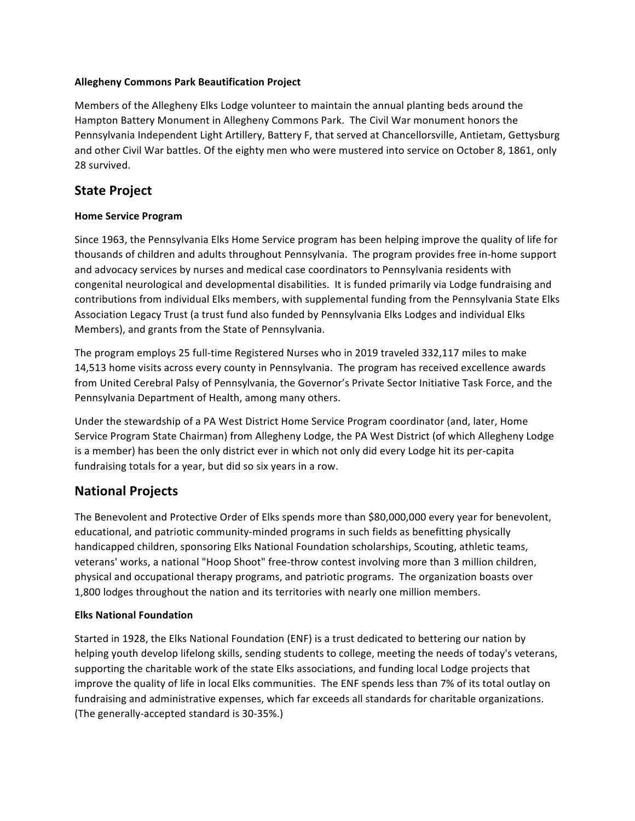# **Allegheny Commons Park Beautification Project**

Members of the Allegheny Elks Lodge volunteer to maintain the annual planting beds around the Hampton Battery Monument in Allegheny Commons Park. The Civil War monument honors the Pennsylvania Independent Light Artillery, Battery F, that served at Chancellorsville, Antietam, Gettysburg and other Civil War battles. Of the eighty men who were mustered into service on October 8, 1861, only 28 survived.

# **State Project**

# **Home Service Program**

Since 1963, the Pennsylvania Elks Home Service program has been helping improve the quality of life for thousands of children and adults throughout Pennsylvania. The program provides free in-home support and advocacy services by nurses and medical case coordinators to Pennsylvania residents with congenital neurological and developmental disabilities. It is funded primarily via Lodge fundraising and contributions from individual Elks members, with supplemental funding from the Pennsylvania State Elks Association Legacy Trust (a trust fund also funded by Pennsylvania Elks Lodges and individual Elks Members), and grants from the State of Pennsylvania.

The program employs 25 full-time Registered Nurses who in 2019 traveled 332,117 miles to make 14,513 home visits across every county in Pennsylvania. The program has received excellence awards from United Cerebral Palsy of Pennsylvania, the Governor's Private Sector Initiative Task Force, and the Pennsylvania Department of Health, among many others.

Under the stewardship of a PA West District Home Service Program coordinator (and, later, Home Service Program State Chairman) from Allegheny Lodge, the PA West District (of which Allegheny Lodge is a member) has been the only district ever in which not only did every Lodge hit its per-capita fundraising totals for a year, but did so six years in a row.

# **National Projects**

The Benevolent and Protective Order of Elks spends more than \$80,000,000 every year for benevolent, educational, and patriotic community-minded programs in such fields as benefitting physically handicapped children, sponsoring Elks National Foundation scholarships, Scouting, athletic teams, veterans' works, a national "Hoop Shoot" free-throw contest involving more than 3 million children, physical and occupational therapy programs, and patriotic programs. The organization boasts over 1,800 lodges throughout the nation and its territories with nearly one million members.

# **Elks National Foundation**

Started in 1928, the Elks National Foundation (ENF) is a trust dedicated to bettering our nation by helping youth develop lifelong skills, sending students to college, meeting the needs of today's veterans, supporting the charitable work of the state Elks associations, and funding local Lodge projects that improve the quality of life in local Elks communities. The ENF spends less than 7% of its total outlay on fundraising and administrative expenses, which far exceeds all standards for charitable organizations. (The generally-accepted standard is 30-35%.)